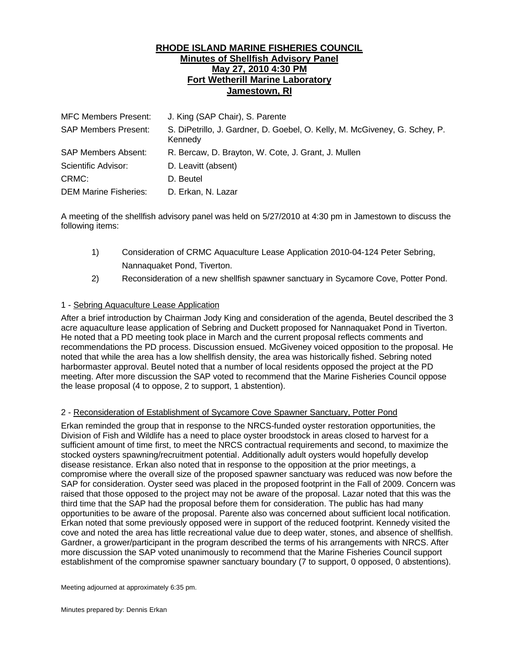## **RHODE ISLAND MARINE FISHERIES COUNCIL Minutes of Shellfish Advisory Panel May 27, 2010 4:30 PM Fort Wetherill Marine Laboratory Jamestown, RI**

| <b>MFC Members Present:</b>  | J. King (SAP Chair), S. Parente                                                       |
|------------------------------|---------------------------------------------------------------------------------------|
| <b>SAP Members Present:</b>  | S. DiPetrillo, J. Gardner, D. Goebel, O. Kelly, M. McGiveney, G. Schey, P.<br>Kennedv |
| SAP Members Absent:          | R. Bercaw, D. Brayton, W. Cote, J. Grant, J. Mullen                                   |
| Scientific Advisor:          | D. Leavitt (absent)                                                                   |
| CRMC:                        | D. Beutel                                                                             |
| <b>DEM Marine Fisheries:</b> | D. Erkan, N. Lazar                                                                    |

A meeting of the shellfish advisory panel was held on 5/27/2010 at 4:30 pm in Jamestown to discuss the following items:

- 1) Consideration of CRMC Aquaculture Lease Application 2010-04-124 Peter Sebring, Nannaquaket Pond, Tiverton.
- 2) Reconsideration of a new shellfish spawner sanctuary in Sycamore Cove, Potter Pond.

## 1 - Sebring Aquaculture Lease Application

After a brief introduction by Chairman Jody King and consideration of the agenda, Beutel described the 3 acre aquaculture lease application of Sebring and Duckett proposed for Nannaquaket Pond in Tiverton. He noted that a PD meeting took place in March and the current proposal reflects comments and recommendations the PD process. Discussion ensued. McGiveney voiced opposition to the proposal. He noted that while the area has a low shellfish density, the area was historically fished. Sebring noted harbormaster approval. Beutel noted that a number of local residents opposed the project at the PD meeting. After more discussion the SAP voted to recommend that the Marine Fisheries Council oppose the lease proposal (4 to oppose, 2 to support, 1 abstention).

## 2 - Reconsideration of Establishment of Sycamore Cove Spawner Sanctuary, Potter Pond

Erkan reminded the group that in response to the NRCS-funded oyster restoration opportunities, the Division of Fish and Wildlife has a need to place oyster broodstock in areas closed to harvest for a sufficient amount of time first, to meet the NRCS contractual requirements and second, to maximize the stocked oysters spawning/recruitment potential. Additionally adult oysters would hopefully develop disease resistance. Erkan also noted that in response to the opposition at the prior meetings, a compromise where the overall size of the proposed spawner sanctuary was reduced was now before the SAP for consideration. Oyster seed was placed in the proposed footprint in the Fall of 2009. Concern was raised that those opposed to the project may not be aware of the proposal. Lazar noted that this was the third time that the SAP had the proposal before them for consideration. The public has had many opportunities to be aware of the proposal. Parente also was concerned about sufficient local notification. Erkan noted that some previously opposed were in support of the reduced footprint. Kennedy visited the cove and noted the area has little recreational value due to deep water, stones, and absence of shellfish. Gardner, a grower/participant in the program described the terms of his arrangements with NRCS. After more discussion the SAP voted unanimously to recommend that the Marine Fisheries Council support establishment of the compromise spawner sanctuary boundary (7 to support, 0 opposed, 0 abstentions).

Meeting adjourned at approximately 6:35 pm.

Minutes prepared by: Dennis Erkan